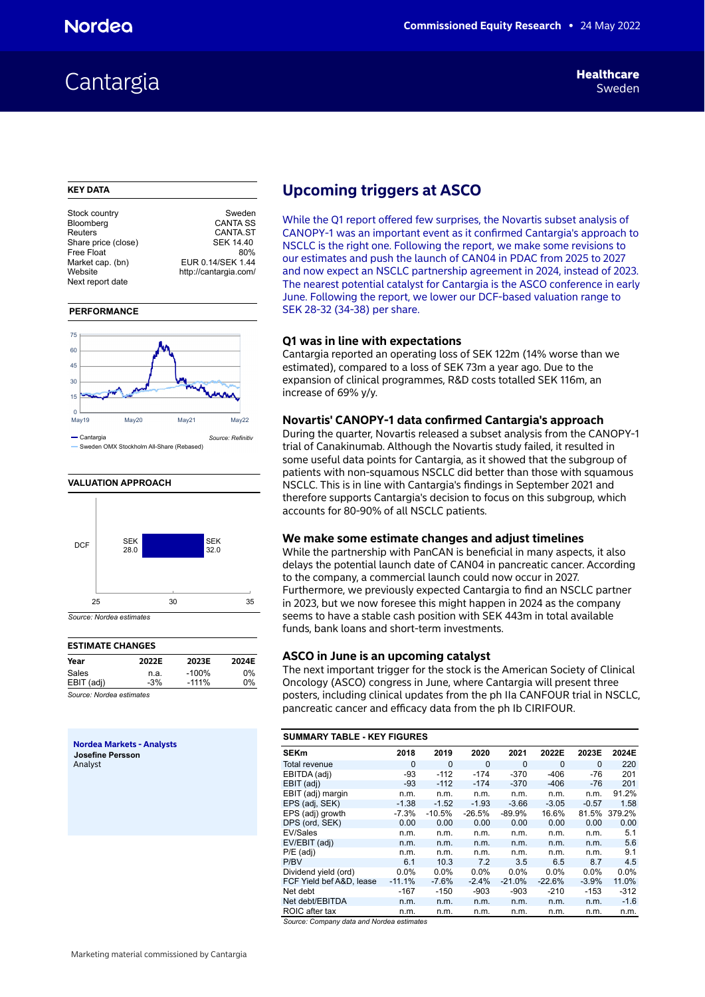# Cantargia Sweden<br>Cantargia Sweden

# **KEY DATA**

| Stock country       | Sweden                |
|---------------------|-----------------------|
| Bloomberg           | <b>CANTA SS</b>       |
| Reuters             | <b>CANTA.ST</b>       |
| Share price (close) | SEK 14.40             |
| Free Float          | 80%                   |
| Market cap. (bn)    | EUR 0.14/SEK 1.44     |
| Website             | http://cantargia.com/ |
| Next report date    |                       |
|                     |                       |

# **PERFORMANCE**



**VALUATION APPROACH** 



# **ESTIMATE CHANGES**

| Year       | 2022E | 2023E    | 2024E |
|------------|-------|----------|-------|
| Sales      | n.a.  | $-100\%$ | 0%    |
| EBIT (adj) | $-3%$ | $-111\%$ | 0%    |

*Source: Nordea estimates*

**Nordea Markets - Analysts Josefine Persson** Analyst

# **Upcoming triggers at ASCO**

While the Q1 report offered few surprises, the Novartis subset analysis of CANOPY-1 was an important event as it confirmed Cantargia's approach to NSCLC is the right one. Following the report, we make some revisions to our estimates and push the launch of CAN04 in PDAC from 2025 to 2027 and now expect an NSCLC partnership agreement in 2024, instead of 2023. The nearest potential catalyst for Cantargia is the ASCO conference in early June. Following the report, we lower our DCF-based valuation range to SEK 28-32 (34-38) per share.

# **Q1 was in line with expectations**

Cantargia reported an operating loss of SEK 122m (14% worse than we estimated), compared to a loss of SEK 73m a year ago. Due to the expansion of clinical programmes, R&D costs totalled SEK 116m, an increase of 69% y/y.

# **Novartis' CANOPY-1 data confirmed Cantargia's approach**

During the quarter, Novartis released a subset analysis from the CANOPY-1 trial of Canakinumab. Although the Novartis study failed, it resulted in some useful data points for Cantargia, as it showed that the subgroup of patients with non-squamous NSCLC did better than those with squamous NSCLC. This is in line with Cantargia's findings in September 2021 and therefore supports Cantargia's decision to focus on this subgroup, which accounts for 80-90% of all NSCLC patients.

# **We make some estimate changes and adjust timelines**

While the partnership with PanCAN is beneficial in many aspects, it also delays the potential launch date of CAN04 in pancreatic cancer. According to the company, a commercial launch could now occur in 2027. Furthermore, we previously expected Cantargia to find an NSCLC partner in 2023, but we now foresee this might happen in 2024 as the company seems to have a stable cash position with SEK 443m in total available funds, bank loans and short-term investments.

# **ASCO in June is an upcoming catalyst**

The next important trigger for the stock is the American Society of Clinical Oncology (ASCO) congress in June, where Cantargia will present three posters, including clinical updates from the ph IIa CANFOUR trial in NSCLC, pancreatic cancer and efficacy data from the ph Ib CIRIFOUR.

# **SUMMARY TABLE - KEY FIGURES**

| <b>SEKm</b>              | 2018     | 2019     | 2020     | 2021     | 2022E    | 2023E    | 2024E  |
|--------------------------|----------|----------|----------|----------|----------|----------|--------|
| Total revenue            | $\Omega$ | $\Omega$ | 0        | $\Omega$ | $\Omega$ | $\Omega$ | 220    |
| EBITDA (adj)             | $-93$    | $-112$   | $-174$   | $-370$   | $-406$   | $-76$    | 201    |
| EBIT (adj)               | -93      | $-112$   | $-174$   | $-370$   | $-406$   | -76      | 201    |
| EBIT (adj) margin        | n.m.     | n.m.     | n.m.     | n.m.     | n.m.     | n.m.     | 91.2%  |
| EPS (adj, SEK)           | $-1.38$  | $-1.52$  | $-1.93$  | $-3.66$  | $-3.05$  | $-0.57$  | 1.58   |
| EPS (adj) growth         | $-7.3%$  | $-10.5%$ | $-26.5%$ | $-89.9%$ | 16.6%    | 81.5%    | 379.2% |
| DPS (ord, SEK)           | 0.00     | 0.00     | 0.00     | 0.00     | 0.00     | 0.00     | 0.00   |
| EV/Sales                 | n.m.     | n.m.     | n.m.     | n.m.     | n.m.     | n.m.     | 5.1    |
| EV/EBIT (adj)            | n.m.     | n.m.     | n.m.     | n.m.     | n.m.     | n.m.     | 5.6    |
| $P/E$ (adj)              | n.m.     | n.m.     | n.m.     | n.m.     | n.m.     | n.m.     | 9.1    |
| P/BV                     | 6.1      | 10.3     | 7.2      | 3.5      | 6.5      | 8.7      | 4.5    |
| Dividend yield (ord)     | $0.0\%$  | $0.0\%$  | $0.0\%$  | 0.0%     | 0.0%     | 0.0%     | 0.0%   |
| FCF Yield bef A&D, lease | $-11.1%$ | $-7.6%$  | $-2.4%$  | $-21.0%$ | $-22.6%$ | $-3.9%$  | 11.0%  |
| Net debt                 | $-167$   | -150     | $-903$   | $-903$   | $-210$   | $-153$   | $-312$ |
| Net debt/EBITDA          | n.m.     | n.m.     | n.m.     | n.m.     | n.m.     | n.m.     | $-1.6$ |
| ROIC after tax           | n.m.     | n.m.     | n.m.     | n.m.     | n.m.     | n.m.     | n.m.   |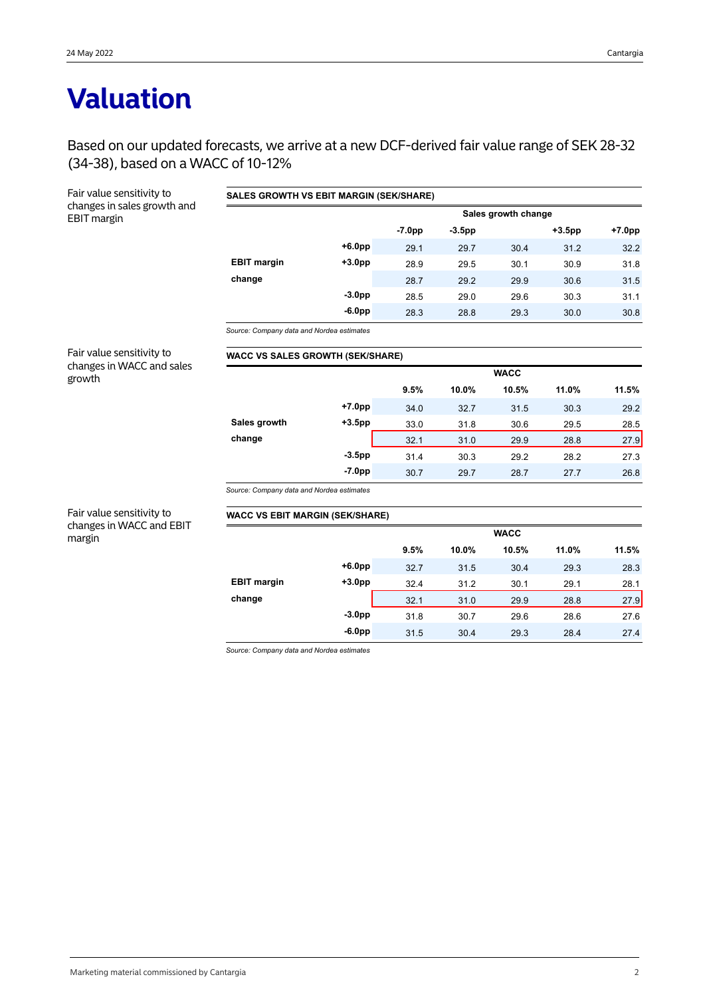# **Valuation**

Based on our updated forecasts, we arrive at a new DCF-derived fair value range of SEK 28-32 (34-38), based on a WACC of 10-12%

**SALES GROWTH VS EBIT MARGIN (SEK/SHARE)**

Fair value sensitivity to changes in sales growth and

| EBIT margin                         |                                           |           | Sales growth change |           |             |           |          |  |  |  |  |
|-------------------------------------|-------------------------------------------|-----------|---------------------|-----------|-------------|-----------|----------|--|--|--|--|
|                                     |                                           |           | $-7.0pp$            | $-3.5$ pp |             | $+3.5$ pp | $+7.0pp$ |  |  |  |  |
|                                     |                                           | $+6.0pp$  | 29.1                | 29.7      | 30.4        | 31.2      | 32.2     |  |  |  |  |
|                                     | <b>EBIT margin</b>                        | $+3.0pp$  | 28.9                | 29.5      | 30.1        | 30.9      | 31.8     |  |  |  |  |
|                                     | change                                    |           | 28.7                | 29.2      | 29.9        | 30.6      | 31.5     |  |  |  |  |
|                                     |                                           | $-3.0pp$  | 28.5                | 29.0      | 29.6        | 30.3      | 31.1     |  |  |  |  |
|                                     |                                           | $-6.0pp$  | 28.3                | 28.8      | 29.3        | 30.0      | 30.8     |  |  |  |  |
|                                     | Source: Company data and Nordea estimates |           |                     |           |             |           |          |  |  |  |  |
| Fair value sensitivity to           | <b>WACC VS SALES GROWTH (SEK/SHARE)</b>   |           |                     |           |             |           |          |  |  |  |  |
| changes in WACC and sales<br>growth |                                           |           | <b>WACC</b>         |           |             |           |          |  |  |  |  |
|                                     |                                           |           | 9.5%                | 10.0%     | 10.5%       | 11.0%     | 11.5%    |  |  |  |  |
|                                     |                                           | $+7.0pp$  | 34.0                | 32.7      | 31.5        | 30.3      | 29.2     |  |  |  |  |
|                                     | Sales growth                              | $+3.5$ pp | 33.0                | 31.8      | 30.6        | 29.5      | 28.5     |  |  |  |  |
|                                     | change                                    |           | 32.1                | 31.0      | 29.9        | 28.8      | 27.9     |  |  |  |  |
|                                     |                                           | $-3.5pp$  | 31.4                | 30.3      | 29.2        | 28.2      | 27.3     |  |  |  |  |
|                                     |                                           | $-7.0pp$  | 30.7                | 29.7      | 28.7        | 27.7      | 26.8     |  |  |  |  |
|                                     | Source: Company data and Nordea estimates |           |                     |           |             |           |          |  |  |  |  |
| Fair value sensitivity to           | <b>WACC VS EBIT MARGIN (SEK/SHARE)</b>    |           |                     |           |             |           |          |  |  |  |  |
| changes in WACC and EBIT<br>margin  |                                           |           |                     |           | <b>WACC</b> |           |          |  |  |  |  |
|                                     |                                           |           | 9.5%                | 10.0%     | 10.5%       | 11.0%     | 11.5%    |  |  |  |  |
|                                     |                                           | $+6.0pp$  | 32.7                | 31.5      | 30.4        | 29.3      | 28.3     |  |  |  |  |
|                                     | <b>EBIT margin</b>                        | $+3.0pp$  | 32.4                | 31.2      | 30.1        | 29.1      | 28.1     |  |  |  |  |
|                                     | change                                    |           | 32.1                | 31.0      | 29.9        | 28.8      | 27.9     |  |  |  |  |
|                                     |                                           | $-3.0pp$  | 31.8                | 30.7      | 29.6        | 28.6      | 27.6     |  |  |  |  |
|                                     |                                           | $-6.0pp$  | 31.5                | 30.4      | 29.3        | 28.4      | 27.4     |  |  |  |  |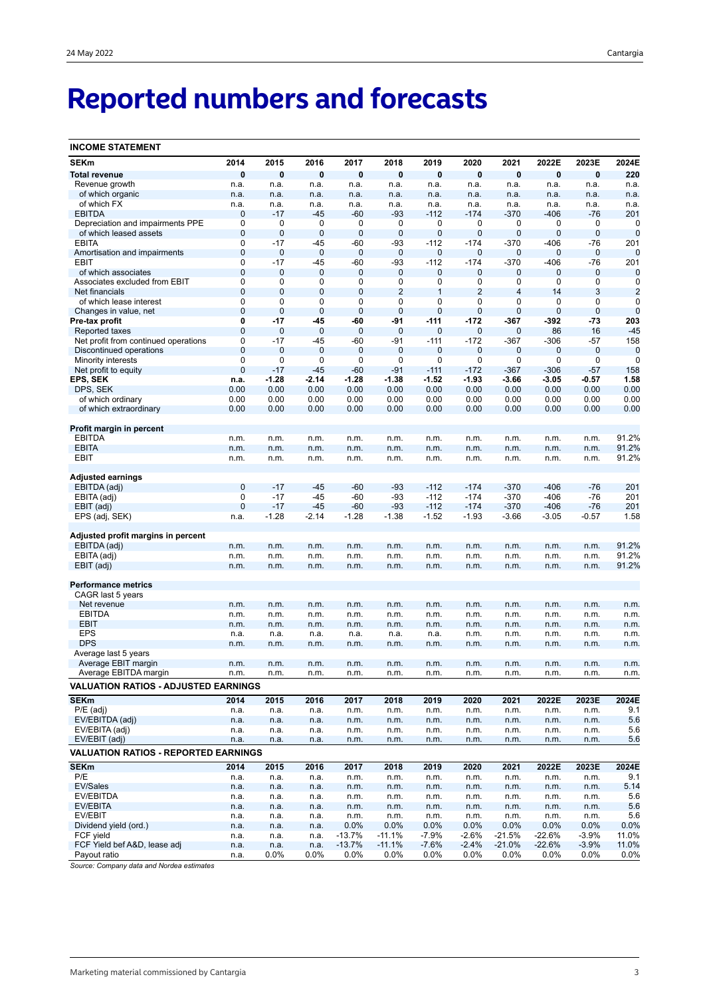# **Reported numbers and forecasts**

| <b>INCOME STATEMENT</b>                     |                   |              |                  |                   |                  |              |                |                 |              |                      |                |
|---------------------------------------------|-------------------|--------------|------------------|-------------------|------------------|--------------|----------------|-----------------|--------------|----------------------|----------------|
| <b>SEKm</b>                                 | 2014              | 2015         | 2016             | 2017              | 2018             | 2019         | 2020           | 2021            | 2022E        | 2023E                | 2024E          |
| <b>Total revenue</b>                        | $\bf{0}$          | $\bf{0}$     | $\pmb{0}$        | $\bf{0}$          | $\pmb{0}$        | $\bf{0}$     | $\bf{0}$       | $\bf{0}$        | $\bf{0}$     | $\bf{0}$             | 220            |
| Revenue growth                              | n.a.              | n.a.         | n.a.             | n.a.              | n.a.             | n.a.         | n.a.           | n.a.            | n.a.         | n.a.                 | n.a.           |
| of which organic                            | n.a.              | n.a.         | n.a.             | n.a.              | n.a.             | n.a.         | n.a.           | n.a.            | n.a.         | n.a.                 | n.a.           |
| of which FX                                 | n.a.              | n.a.         | n.a.             | n.a.              | n.a.             | n.a.         | n.a.           | n.a.            | n.a.         | n.a.                 | n.a.           |
| <b>EBITDA</b>                               | 0                 | $-17$        | $-45$            | $-60$             | $-93$            | -112         | $-174$         | $-370$          | $-406$       | -76                  | 201            |
| Depreciation and impairments PPE            | 0                 | 0            | 0                | 0                 | 0                | 0            | 0              | 0               | 0            | 0                    | 0              |
| of which leased assets                      | $\mathbf 0$       | $\pmb{0}$    | $\mathbf 0$      | $\mathbf 0$       | $\bf 0$          | $\mathbf 0$  | $\mathbf 0$    | 0               | $\mathbf 0$  | $\mathbf 0$          | $\mathbf 0$    |
| <b>EBITA</b>                                | 0                 | $-17$        | $-45$            | -60               | -93              | $-112$       | $-174$         | $-370$          | $-406$       | $-76$                | 201            |
| Amortisation and impairments                | $\mathbf 0$       | 0            | $\bf 0$<br>$-45$ | 0                 | $\bf 0$<br>$-93$ | $\mathbf 0$  | $\mathbf 0$    | 0               | $\mathbf 0$  | $\mathbf 0$<br>$-76$ | $\mathbf 0$    |
| EBIT<br>of which associates                 | 0<br>$\mathbf{0}$ | $-17$<br>0   | 0                | $-60$<br>0        | 0                | $-112$<br>0  | $-174$<br>0    | $-370$<br>0     | $-406$<br>0  | 0                    | 201<br>0       |
| Associates excluded from EBIT               | 0                 | 0            | 0                | 0                 | 0                | 0            | 0              | 0               | 0            | 0                    | 0              |
| Net financials                              | $\mathbf 0$       | 0            | $\mathbf 0$      | $\mathbf 0$       | $\overline{2}$   | 1            | $\overline{2}$ | $\overline{4}$  | 14           | 3                    | $\overline{2}$ |
| of which lease interest                     | 0                 | 0            | 0                | 0                 | 0                | 0            | 0              | 0               | 0            | 0                    | 0              |
| Changes in value, net                       | $\mathbf 0$       | $\mathbf 0$  | $\mathbf 0$      | $\mathbf 0$       | $\mathbf 0$      | $\mathbf 0$  | $\mathbf 0$    | $\mathbf 0$     | $\mathbf 0$  | $\mathbf 0$          | $\mathbf 0$    |
| Pre-tax profit                              | 0                 | -17          | -45              | -60               | -91              | -111         | -172           | -367            | -392         | -73                  | 203            |
| Reported taxes                              | $\mathbf 0$       | 0            | $\mathbf 0$      | 0                 | $\mathbf 0$      | $\mathbf 0$  | $\mathbf 0$    | 0               | 86           | 16                   | $-45$          |
| Net profit from continued operations        | 0                 | $-17$        | $-45$            | -60               | $-91$            | $-111$       | $-172$         | -367            | $-306$       | $-57$                | 158            |
| Discontinued operations                     | $\mathbf{0}$      | 0            | 0                | $\mathbf{0}$      | 0                | 0            | 0              | 0               | 0            | 0                    | $\mathbf 0$    |
| <b>Minority interests</b>                   | 0                 | 0            | 0                | 0                 | 0                | 0            | 0              | 0               | 0            | 0                    | 0              |
| Net profit to equity                        | 0                 | $-17$        | $-45$            | $-60$             | $-91$            | $-111$       | $-172$         | $-367$          | $-306$       | $-57$                | 158            |
| EPS, SEK                                    | n.a.              | $-1.28$      | $-2.14$          | $-1.28$           | $-1.38$          | $-1.52$      | $-1.93$        | $-3.66$         | -3.05        | $-0.57$              | 1.58           |
| DPS, SEK                                    | 0.00              | 0.00         | 0.00             | 0.00              | 0.00             | 0.00         | 0.00           | 0.00            | 0.00         | 0.00                 | 0.00           |
| of which ordinary                           | 0.00              | 0.00         | 0.00             | 0.00              | 0.00             | 0.00         | 0.00           | 0.00            | 0.00         | 0.00                 | 0.00           |
| of which extraordinary                      | 0.00              | 0.00         | 0.00             | 0.00              | 0.00             | 0.00         | 0.00           | 0.00            | 0.00         | 0.00                 | 0.00           |
| Profit margin in percent                    |                   |              |                  |                   |                  |              |                |                 |              |                      |                |
| <b>EBITDA</b>                               | n.m.              | n.m.         | n.m.             | n.m.              | n.m.             | n.m.         | n.m.           | n.m.            | n.m.         | n.m.                 | 91.2%          |
| <b>EBITA</b>                                | n.m.              | n.m.         | n.m.             | n.m.              | n.m.             | n.m.         | n.m.           | n.m.            | n.m.         | n.m.                 | 91.2%          |
| EBIT                                        | n.m.              | n.m.         | n.m.             | n.m.              | n.m.             | n.m.         | n.m.           | n.m.            | n.m.         | n.m.                 | 91.2%          |
|                                             |                   |              |                  |                   |                  |              |                |                 |              |                      |                |
| <b>Adjusted earnings</b>                    |                   |              |                  |                   |                  |              |                |                 |              |                      |                |
| EBITDA (adj)                                | $\mathbf{0}$      | $-17$        | $-45$            | $-60$             | $-93$            | $-112$       | $-174$         | $-370$          | $-406$       | $-76$                | 201            |
| EBITA (adj)                                 | 0                 | $-17$        | $-45$            | -60               | $-93$            | $-112$       | $-174$         | $-370$          | $-406$       | $-76$                | 201            |
| EBIT (adj)                                  | $\overline{0}$    | $-17$        | $-45$            | $-60$             | $-93$            | $-112$       | $-174$         | $-370$          | $-406$       | $-76$                | 201            |
| EPS (adj, SEK)                              | n.a.              | $-1.28$      | $-2.14$          | $-1.28$           | $-1.38$          | $-1.52$      | $-1.93$        | $-3.66$         | $-3.05$      | $-0.57$              | 1.58           |
| Adjusted profit margins in percent          |                   |              |                  |                   |                  |              |                |                 |              |                      |                |
| EBITDA (adj)                                | n.m.              | n.m.         | n.m.             | n.m.              | n.m.             | n.m.         | n.m.           | n.m.            | n.m.         | n.m.                 | 91.2%          |
| EBITA (adj)                                 | n.m.              | n.m.         | n.m.             | n.m.              | n.m.             | n.m.         | n.m.           | n.m.            | n.m.         | n.m.                 | 91.2%          |
| EBIT (adj)                                  | n.m.              | n.m.         | n.m.             | n.m.              | n.m.             | n.m.         | n.m.           | n.m.            | n.m.         | n.m.                 | 91.2%          |
|                                             |                   |              |                  |                   |                  |              |                |                 |              |                      |                |
| <b>Performance metrics</b>                  |                   |              |                  |                   |                  |              |                |                 |              |                      |                |
| CAGR last 5 years                           |                   |              |                  |                   |                  |              |                |                 |              |                      |                |
| Net revenue                                 | n.m.              | n.m.         | n.m.             | n.m.              | n.m.             | n.m.         | n.m.           | n.m.            | n.m.         | n.m.                 | n.m.           |
| <b>EBITDA</b>                               | n.m.              | n.m.         | n.m.             | n.m.              | n.m.             | n.m.         | n.m.           | n.m.            | n.m.         | n.m.                 | n.m.           |
| <b>EBIT</b>                                 | n.m.              | n.m.         | n.m.             | n.m.              | n.m.             | n.m.         | n.m.           | n.m.            | n.m.         | n.m.                 | n.m.           |
| EPS                                         | n.a.              | n.a.         | n.a.             | n.a.              | n.a.             | n.a.         | n.m.           | n.m.            | n.m.         | n.m.                 | n.m.           |
| <b>DPS</b>                                  | n.m.              | n.m.         | n.m.             | n.m.              | n.m.             | n.m.         | n.m.           | n.m.            | n.m.         | n.m.                 | n.m.           |
| Average last 5 years<br>Average EBIT margin |                   |              |                  |                   |                  |              |                |                 |              |                      |                |
| Average EBITDA margin                       | n.m.<br>n.m.      | n.m.<br>n.m. | n.m.<br>n.m.     | n.m.<br>$n.n_1$ . | n.m.<br>n.m.     | n.m.<br>n.m. | n.m.           | n.m.<br>11.111. | n.m.         | n.m.<br>n.m.         | n.m.<br>n.m.   |
| <b>VALUATION RATIOS - ADJUSTED EARNINGS</b> |                   |              |                  |                   |                  |              | 11.111.        |                 | 11.111.      |                      |                |
| <b>SEKm</b>                                 | 2014              |              |                  |                   |                  |              |                |                 |              |                      |                |
| $P/E$ (adj)                                 |                   | 2015         | 2016             | 2017              | 2018             | 2019         | 2020           | 2021            | 2022E        | 2023E                | 2024E          |
| EV/EBITDA (adj)                             | n.a.<br>n.a.      | n.a.<br>n.a. | n.a.<br>n.a.     | n.m.<br>n.m.      | n.m.<br>n.m.     | n.m.<br>n.m. | n.m.<br>n.m.   | n.m.<br>n.m.    | n.m.<br>n.m. | n.m.<br>n.m.         | 9.1<br>5.6     |
| EV/EBITA (adj)                              | n.a.              | n.a.         | n.a.             | n.m.              | n.m.             | n.m.         | n.m.           | n.m.            | n.m.         | n.m.                 | 5.6            |
| EV/EBIT (adj)                               | n.a.              | n.a.         | n.a.             | n.m.              | n.m.             | n.m.         | n.m.           | n.m.            | n.m.         | n.m.                 | 5.6            |
| <b>VALUATION RATIOS - REPORTED EARNINGS</b> |                   |              |                  |                   |                  |              |                |                 |              |                      |                |
|                                             |                   |              |                  |                   |                  |              |                |                 |              |                      |                |
| <b>SEKm</b><br>P/E                          | 2014              | 2015         | 2016             | 2017              | 2018             | 2019         | 2020           | 2021            | 2022E        | 2023E                | 2024E          |
| EV/Sales                                    | n.a.              | n.a.         | n.a.             | n.m.              | n.m.             | n.m.         | n.m.           | n.m.            | n.m.         | n.m.                 | 9.1<br>5.14    |
| EV/EBITDA                                   | n.a.              | n.a.         | n.a.             | n.m.              | n.m.             | n.m.         | n.m.           | n.m.            | n.m.         | n.m.                 |                |
| EV/EBITA                                    | n.a.<br>n.a.      | n.a.<br>n.a. | n.a.<br>n.a.     | n.m.<br>n.m.      | n.m.<br>n.m.     | n.m.<br>n.m. | n.m.<br>n.m.   | n.m.<br>n.m.    | n.m.<br>n.m. | n.m.<br>n.m.         | 5.6<br>5.6     |
| EV/EBIT                                     | n.a.              | n.a.         | n.a.             | n.m.              | n.m.             | n.m.         | n.m.           | n.m.            | n.m.         | n.m.                 | 5.6            |
| Dividend yield (ord.)                       | n.a.              | n.a.         | n.a.             | 0.0%              | $0.0\%$          | 0.0%         | 0.0%           | 0.0%            | 0.0%         | 0.0%                 | 0.0%           |
| FCF yield                                   | n.a.              | n.a.         | n.a.             | $-13.7%$          | $-11.1%$         | $-7.9%$      | $-2.6%$        | $-21.5%$        | $-22.6%$     | $-3.9\%$             | 11.0%          |
| FCF Yield bef A&D, lease adj                | n.a.              | n.a.         | n.a.             | $-13.7%$          | $-11.1%$         | $-7.6%$      | $-2.4%$        | $-21.0%$        | $-22.6%$     | $-3.9%$              | 11.0%          |
| Payout ratio                                | n.a.              | $0.0\%$      | 0.0%             | 0.0%              | 0.0%             | 0.0%         | $0.0\%$        | 0.0%            | $0.0\%$      | 0.0%                 | 0.0%           |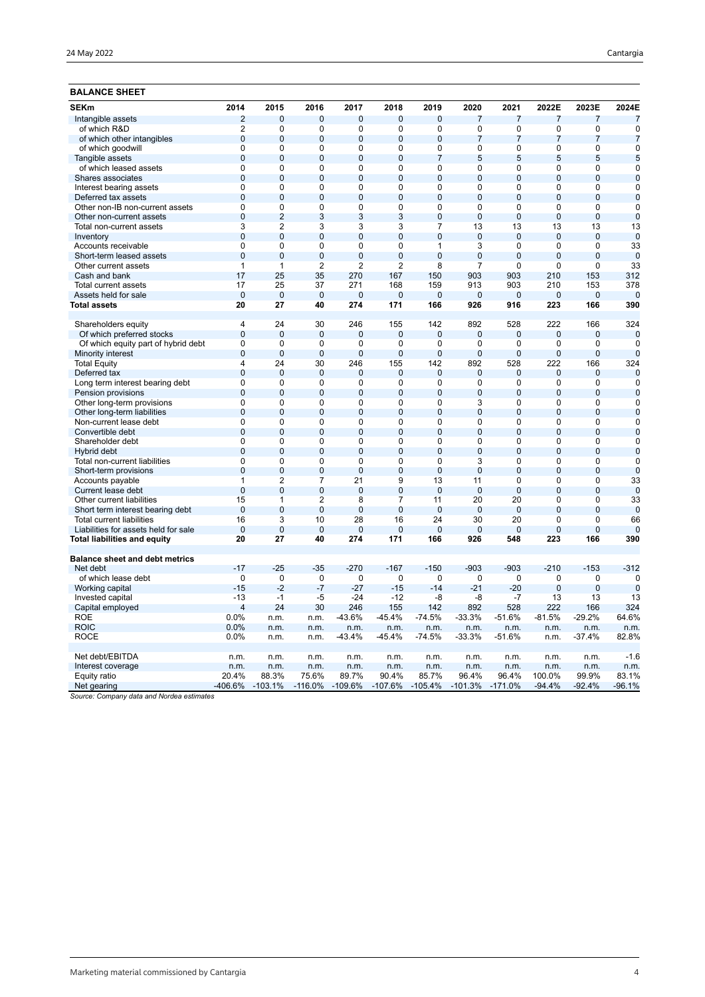| <b>BALANCE SHEET</b>                  |                      |                      |                      |                     |                |                       |                       |                |                       |                       |                    |
|---------------------------------------|----------------------|----------------------|----------------------|---------------------|----------------|-----------------------|-----------------------|----------------|-----------------------|-----------------------|--------------------|
| <b>SEKm</b>                           | 2014                 | 2015                 | 2016                 | 2017                | 2018           | 2019                  | 2020                  | 2021           | 2022E                 | 2023E                 | 2024E              |
| Intangible assets                     | $\overline{2}$       | $\overline{0}$       | 0                    | $\overline{0}$      | 0              | $\overline{0}$        | $\overline{7}$        | $\overline{7}$ | $\overline{7}$        | $\overline{7}$        | $\overline{7}$     |
| of which R&D                          | $\overline{2}$       | $\mathbf 0$          | $\mathbf 0$          | $\mathbf 0$         | 0              | $\mathbf 0$           | $\mathbf 0$           | 0              | 0                     | $\mathbf 0$           | $\mathbf 0$        |
| of which other intangibles            | $\mathbf 0$          | $\overline{0}$       | $\overline{0}$       | $\overline{0}$      | 0              | $\overline{0}$        | $\overline{7}$        | $\overline{7}$ | $\overline{7}$        | $\overline{7}$        | 7                  |
| of which goodwill                     | $\mathbf 0$          | $\mathbf 0$          | $\mathbf 0$          | $\mathbf 0$         | 0              | $\mathbf 0$           | $\mathbf 0$           | 0              | 0                     | $\mathbf 0$           | $\mathbf 0$        |
| Tangible assets                       | $\overline{0}$       | $\overline{0}$       | $\overline{0}$       | $\overline{0}$      | $\overline{0}$ | $\overline{7}$        | 5                     | 5              | 5                     | 5                     | 5                  |
| of which leased assets                | $\overline{0}$       | $\overline{0}$       | $\overline{0}$       | $\overline{0}$      | 0              | $\overline{0}$        | $\overline{0}$        | 0              | 0                     | $\overline{0}$        | $\mathbf 0$        |
| Shares associates                     | $\overline{0}$       | $\overline{0}$       | $\overline{0}$       | $\overline{0}$      | $\overline{0}$ | $\overline{0}$        | $\overline{0}$        | $\overline{0}$ | $\overline{0}$        | $\overline{0}$        | $\overline{0}$     |
| Interest bearing assets               | 0                    | $\mathbf 0$          | $\mathbf 0$          | 0                   | 0              | $\mathbf 0$           | $\mathbf 0$           | 0              | 0                     | $\mathbf 0$           | 0                  |
| Deferred tax assets                   | $\mathbf{0}$         | $\overline{0}$       | $\overline{0}$       | $\overline{0}$      | $\overline{0}$ | $\overline{0}$        | $\Omega$              | $\Omega$       | $\overline{0}$        | $\overline{0}$        | $\Omega$           |
| Other non-IB non-current assets       | $\overline{0}$       | $\overline{0}$       | $\overline{0}$       | $\overline{0}$      | $\overline{0}$ | $\overline{0}$        | $\overline{0}$        | 0              | $\overline{0}$        | $\overline{0}$        | $\mathbf 0$        |
| Other non-current assets              | $\overline{0}$       | $\overline{2}$       | 3                    | 3                   | 3              | $\overline{0}$        | $\overline{0}$        | $\overline{0}$ | $\overline{0}$        | $\overline{0}$        | $\overline{0}$     |
| Total non-current assets              | 3                    | $\overline{2}$       | 3                    | 3                   | 3              | 7                     | 13                    | 13             | 13                    | 13                    | 13                 |
| Inventory                             | $\pmb{0}$            | $\mathbf{0}$         | $\overline{0}$       | $\overline{0}$      | $\overline{0}$ | $\overline{0}$        | $\overline{0}$        | $\mathbf{0}$   | $\mathbf{0}$          | $\overline{0}$        | 0                  |
| Accounts receivable                   | $\overline{0}$       | $\mathbf 0$          | $\mathbf 0$          | $\mathbf 0$         | 0              | $\mathbf{1}$          | $\overline{3}$        | 0              | 0                     | $\mathbf 0$           | 33                 |
| Short-term leased assets              | $\overline{0}$       | $\mathbf{0}$         | $\overline{0}$       | $\overline{0}$      | $\overline{0}$ | $\overline{0}$        | $\overline{0}$        | $\overline{0}$ | $\overline{0}$        | $\overline{0}$        | $\mathbf 0$        |
| Other current assets                  | $\mathbf{1}$         | $\mathbf{1}$         | $\overline{2}$       | $\overline{2}$      | $\overline{2}$ | 8                     | $\overline{7}$        | 0              | 0                     | 0                     | 33                 |
| Cash and bank                         | 17                   | 25                   | 35                   | 270                 | 167            | 150                   | 903                   | 903            | 210                   | 153                   | 312                |
| Total current assets                  | 17                   | 25                   | 37                   | 271                 | 168            | 159                   | 913                   | 903            | 210                   | 153                   | 378                |
| Assets held for sale                  | $\overline{0}$       | $\mathbf{0}$         | $\overline{0}$       | $\overline{0}$      | $\overline{0}$ | $\overline{0}$        | $\overline{0}$        | $\overline{0}$ | $\overline{0}$        | $\overline{0}$        | $\overline{0}$     |
| Total assets                          | 20                   | 27                   | 40                   | 274                 | 171            | 166                   | 926                   | 916            | 223                   | 166                   | 390                |
| Shareholders equity                   | $\overline{4}$       | 24                   | 30                   | 246                 | 155            | 142                   | 892                   | 528            | 222                   | 166                   | 324                |
| Of which preferred stocks             | $\mathbf 0$          | $\mathbf 0$          | $\mathbf 0$          | $\mathbf 0$         | 0              | $\mathbf 0$           | $\mathbf 0$           | 0              | $\mathbf 0$           | $\mathbf 0$           | $\overline{0}$     |
| Of which equity part of hybrid debt   | 0                    | $\Omega$             | 0                    | 0                   | 0              | 0                     | $\Omega$              | 0              | $\Omega$              | 0                     | 0                  |
| Minority interest                     | $\overline{0}$       | $\Omega$             | $\overline{0}$       | $\overline{0}$      | $\overline{0}$ | $\overline{0}$        | $\Omega$              | $\Omega$       | $\overline{0}$        | $\overline{0}$        | $\Omega$           |
| <b>Total Equity</b>                   | $\overline{4}$       | 24                   | 30                   | 246                 | 155            | 142                   | 892                   | 528            | 222                   | 166                   | 324                |
| Deferred tax                          | $\mathbf 0$          | $\overline{0}$       | $\overline{0}$       | $\mathbf 0$         | $\overline{0}$ | $\overline{0}$        | $\overline{0}$        | 0              | $\mathbf 0$           | $\mathbf 0$           | $\overline{0}$     |
| Long term interest bearing debt       | 0                    | $\mathbf 0$          | 0                    | 0                   | 0              | 0                     | 0                     | 0              | 0                     | 0                     | 0                  |
| Pension provisions                    | $\overline{0}$       | $\Omega$             | $\overline{0}$       | $\overline{0}$      | $\overline{0}$ | $\overline{0}$        | $\overline{0}$        | $\overline{0}$ | $\overline{0}$        | $\overline{0}$        | $\overline{0}$     |
| Other long-term provisions            | 0                    | $\mathbf 0$          | $\mathbf 0$          | 0                   | 0              | $\mathbf 0$           | 3                     | 0              | 0                     | $\mathbf 0$           | $\mathbf 0$        |
| Other long-term liabilities           | $\overline{0}$       | $\mathbf 0$          | $\overline{0}$       | $\overline{0}$      | 0              | $\overline{0}$        | $\overline{0}$        | 0              | $\overline{0}$        | $\overline{0}$        | $\mathbf 0$        |
| Non-current lease debt                | 0                    | $\Omega$             | $\Omega$             | 0                   | $\Omega$       | $\Omega$              | $\Omega$              | $\Omega$       | 0                     | $\Omega$              | 0                  |
| Convertible debt                      | $\overline{0}$       | $\mathbf{0}$         | $\overline{0}$       | $\overline{0}$      | $\overline{0}$ | $\overline{0}$        | $\overline{0}$        | $\overline{0}$ | $\overline{0}$        | $\overline{0}$        | $\overline{0}$     |
| Shareholder debt                      | $\overline{0}$       | $\mathbf 0$          | $\mathbf 0$          | 0                   | 0              | 0                     | $\mathbf 0$           | 0              | 0                     | 0                     | $\mathbf 0$        |
| Hybrid debt                           | $\overline{0}$       | $\mathbf 0$          | $\mathbf 0$          | $\overline{0}$      | 0              | $\overline{0}$        | $\mathbf{0}$          | $\mathbf 0$    | $\mathbf 0$           | $\overline{0}$        | 0                  |
| Total non-current liabilities         | $\Omega$             | $\Omega$             | $\Omega$             | $\Omega$            | 0              | $\Omega$              | 3                     | $\Omega$       | 0                     | 0                     | 0                  |
| Short-term provisions                 | $\overline{0}$       | $\overline{0}$       | $\overline{0}$       | $\overline{0}$      | $\overline{0}$ | $\overline{0}$        | $\overline{0}$        | $\overline{0}$ | $\overline{0}$        | $\overline{0}$        | $\Omega$           |
| Accounts payable                      | $\overline{1}$       | $\overline{2}$       | $\overline{7}$       | 21                  | 9              | 13                    | 11                    | 0              | 0                     | $\mathbf 0$           | 33                 |
| Current lease debt                    | $\overline{0}$       | $\overline{0}$       | $\overline{0}$       | $\overline{0}$      | $\overline{0}$ | $\overline{0}$        | $\overline{0}$        | $\overline{0}$ | $\overline{0}$        | $\overline{0}$        | $\mathbf 0$        |
| Other current liabilities             | 15                   | 1                    | $\overline{2}$       | 8                   | 7              | 11                    | 20                    | 20             | 0                     | 0                     | 33                 |
| Short term interest bearing debt      | $\overline{0}$       | $\Omega$             | $\overline{0}$       | $\overline{0}$      | $\overline{0}$ | $\overline{0}$        | $\Omega$              | $\Omega$       | $\overline{0}$        | $\overline{0}$        | $\mathbf 0$        |
| <b>Total current liabilities</b>      | 16                   | 3                    | 10                   | 28                  | 16             | 24                    | 30                    | 20             | 0                     | $\mathbf 0$           | 66                 |
| Liabilities for assets held for sale  | $\overline{0}$<br>20 | $\overline{0}$<br>27 | $\overline{0}$<br>40 | $\mathbf{0}$<br>274 | 0<br>171       | $\overline{0}$<br>166 | $\overline{0}$<br>926 | 0<br>548       | $\overline{0}$<br>223 | $\overline{0}$<br>166 | $\mathbf 0$<br>390 |
| Total liabilities and equity          |                      |                      |                      |                     |                |                       |                       |                |                       |                       |                    |
| <b>Balance sheet and debt metrics</b> |                      |                      |                      |                     |                |                       |                       |                |                       |                       |                    |
| Net debt                              | $-17$                | $-25$                | $-35$                | $-270$              | $-167$         | $-150$                | $-903$                | $-903$         | $-210$                | $-153$                | $-312$             |
| of which lease debt                   | $\Omega$             | $\Omega$             | 0                    | 0                   | $\Omega$       | $\Omega$              | $\Omega$              | $\Omega$       | 0                     | 0                     | 0                  |
| Working capital                       | $-15$                | $-2$                 | $-7$                 | $-27$               | $-15$          | $-14$                 | $-21$                 | $-20$          | $\overline{0}$        | $\overline{0}$        | $\mathbf 0$        |
| Invested capital                      | $-13$                | $-1$                 | $-5$                 | $-24$               | $-12$          | -8                    | -8                    | $-7$           | 13                    | 13                    | 13                 |
| Capital employed                      | $\overline{4}$       | 24                   | 30                   | 246                 | 155            | 142                   | 892                   | 528            | 222                   | 166                   | 324                |
| <b>ROE</b>                            | 0.0%                 | n.m.                 | n.m.                 | $-43.6%$            | $-45.4%$       | -74.5%                | $-33.3%$              | $-51.6%$       | $-81.5%$              | $-29.2%$              | 64.6%              |
| <b>ROIC</b>                           | 0.0%                 | n.m.                 | n.m.                 | n.m.                | n.m.           | n.m.                  | n.m.                  | n.m.           | n.m.                  | n.m.                  | n.m.               |
| <b>ROCE</b>                           | 0.0%                 | n.m.                 | n.m.                 | $-43.4%$            | $-45.4%$       | $-74.5%$              | $-33.3%$              | $-51.6%$       | n.m.                  | $-37.4%$              | 82.8%              |
| Net debt/EBITDA                       | n.m.                 | n.m.                 | n.m.                 | n.m.                | n.m.           | n.m.                  | n.m.                  | n.m.           | n.m.                  | n.m.                  | $-1.6$             |
| Interest coverage                     | n.m.                 | n.m.                 | n.m.                 | n.m.                | n.m.           | n.m.                  | n.m.                  | n.m.           | n.m.                  | n.m.                  | n.m.               |
| Equity ratio                          | 20.4%                | 88.3%                | 75.6%                | 89.7%               | 90.4%          | 85.7%                 | 96.4%                 | 96.4%          | 100.0%                | 99.9%                 | 83.1%              |
| Net gearing                           | -406.6%              | $-103.1%$            | $-116.0%$            | $-109.6%$           | $-107.6%$      | $-105.4%$             | $-101.3%$             | $-171.0%$      | $-94.4%$              | -92.4%                | $-96.1%$           |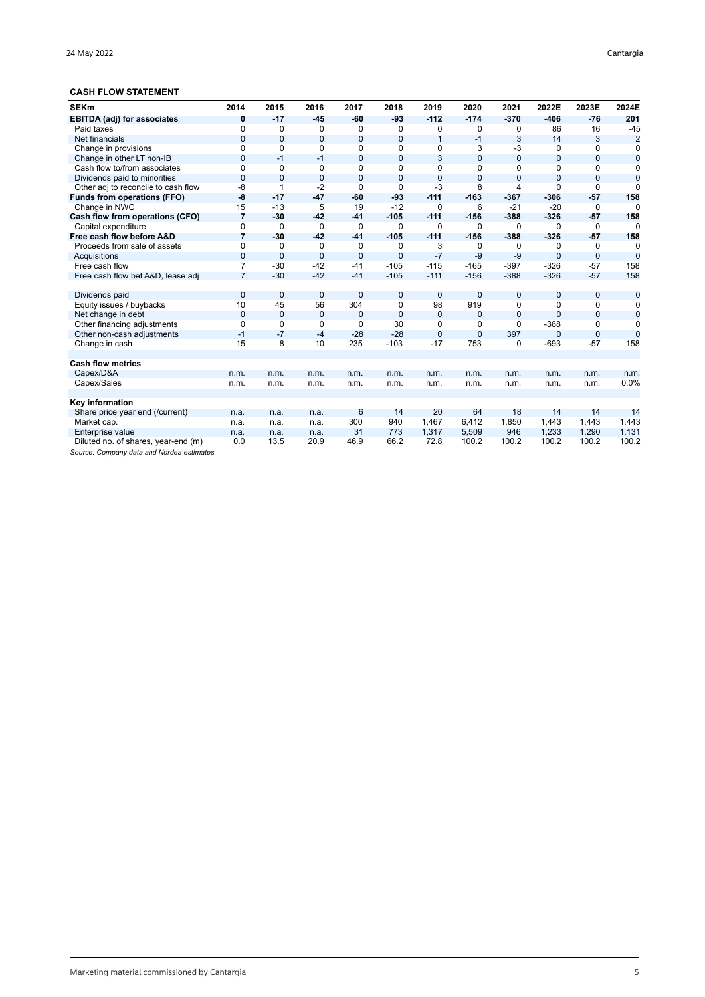| <b>CASH FLOW STATEMENT</b>          |                |              |                |                |                |                |                |                |              |                |                |
|-------------------------------------|----------------|--------------|----------------|----------------|----------------|----------------|----------------|----------------|--------------|----------------|----------------|
| <b>SEKm</b>                         | 2014           | 2015         | 2016           | 2017           | 2018           | 2019           | 2020           | 2021           | 2022E        | 2023E          | 2024E          |
| <b>EBITDA (adj) for associates</b>  | 0              | $-17$        | $-45$          | $-60$          | $-93$          | $-112$         | $-174$         | $-370$         | $-406$       | $-76$          | 201            |
| Paid taxes                          | $\mathbf 0$    | 0            | 0              | 0              | 0              | 0              | 0              | 0              | 86           | 16             | $-45$          |
| Net financials                      | $\mathbf{0}$   | $\mathbf{0}$ | $\overline{0}$ | $\overline{0}$ | $\mathbf{0}$   | $\mathbf{1}$   | $-1$           | 3              | 14           | 3              | $\overline{2}$ |
| Change in provisions                | $\Omega$       | $\Omega$     | $\Omega$       | 0              | 0              | 0              | 3              | -3             | 0            | $\Omega$       | $\mathbf 0$    |
| Change in other LT non-IB           | $\mathbf{0}$   | $-1$         | $-1$           | $\mathbf{0}$   | $\mathbf{0}$   | 3              | $\overline{0}$ | $\overline{0}$ | $\mathbf{0}$ | $\overline{0}$ | $\mathbf 0$    |
| Cash flow to/from associates        | $\Omega$       | $\Omega$     | $\Omega$       | 0              | $\Omega$       | $\mathbf 0$    | $\Omega$       | $\Omega$       | 0            | $\Omega$       | $\mathbf 0$    |
| Dividends paid to minorities        | $\Omega$       | $\Omega$     | $\overline{0}$ | $\mathbf{0}$   | $\Omega$       | $\overline{0}$ | $\overline{0}$ | $\overline{0}$ | $\Omega$     | $\Omega$       | $\mathbf 0$    |
| Other adj to reconcile to cash flow | -8             |              | $-2$           | $\Omega$       | $\Omega$       | $-3$           | 8              | $\overline{4}$ | $\Omega$     | $\Omega$       | $\Omega$       |
| <b>Funds from operations (FFO)</b>  | -8             | $-17$        | $-47$          | $-60$          | $-93$          | $-111$         | $-163$         | $-367$         | $-306$       | $-57$          | 158            |
| Change in NWC                       | 15             | $-13$        | 5              | 19             | $-12$          | 0              | 6              | $-21$          | $-20$        | $\Omega$       | $\Omega$       |
| Cash flow from operations (CFO)     | $\overline{7}$ | $-30$        | $-42$          | $-41$          | $-105$         | $-111$         | $-156$         | $-388$         | $-326$       | $-57$          | 158            |
| Capital expenditure                 | $\Omega$       | $\Omega$     | $\Omega$       | $\Omega$       | $\Omega$       | $\Omega$       | $\Omega$       | $\Omega$       | $\Omega$     | $\Omega$       | $\Omega$       |
| Free cash flow before A&D           | $\overline{7}$ | $-30$        | $-42$          | $-41$          | $-105$         | $-111$         | $-156$         | $-388$         | $-326$       | $-57$          | 158            |
| Proceeds from sale of assets        | $\mathbf 0$    | $\mathbf 0$  | 0              | 0              | 0              | 3              | 0              | 0              | 0            | 0              | $\mathbf 0$    |
| Acquisitions                        | $\mathbf{0}$   | $\mathbf{0}$ | $\overline{0}$ | $\overline{0}$ | $\mathbf{0}$   | $-7$           | $-9$           | $-9$           | $\mathbf{0}$ | $\overline{0}$ | $\mathbf 0$    |
| Free cash flow                      | $\overline{7}$ | $-30$        | $-42$          | $-41$          | $-105$         | $-115$         | $-165$         | $-397$         | $-326$       | $-57$          | 158            |
| Free cash flow bef A&D, lease adj   | $\overline{7}$ | $-30$        | $-42$          | $-41$          | $-105$         | $-111$         | $-156$         | $-388$         | $-326$       | $-57$          | 158            |
| Dividends paid                      | $\mathbf{0}$   | $\mathbf{0}$ | $\mathbf{0}$   | $\overline{0}$ | 0              | $\overline{0}$ | $\mathbf{0}$   | $\mathbf{0}$   | 0            | $\mathbf{0}$   | $\mathbf 0$    |
| Equity issues / buybacks            | 10             | 45           | 56             | 304            | 0              | 98             | 919            | $\Omega$       | 0            | 0              | 0              |
| Net change in debt                  | $\mathbf{0}$   | $\mathbf{0}$ | $\overline{0}$ | $\overline{0}$ | $\overline{0}$ | $\mathbf 0$    | $\Omega$       | $\overline{0}$ | $\mathbf{0}$ | $\overline{0}$ | $\mathbf 0$    |
| Other financing adjustments         | $\Omega$       | $\Omega$     | $\mathbf 0$    | $\mathbf 0$    | 30             | 0              | 0              | $\Omega$       | $-368$       | $\Omega$       | $\mathbf 0$    |
| Other non-cash adjustments          | $-1$           | $-7$         | $-4$           | $-28$          | $-28$          | $\overline{0}$ | $\overline{0}$ | 397            | $\mathbf{0}$ | $\overline{0}$ | $\mathbf 0$    |
| Change in cash                      | 15             | 8            | 10             | 235            | $-103$         | $-17$          | 753            | 0              | $-693$       | $-57$          | 158            |
| <b>Cash flow metrics</b>            |                |              |                |                |                |                |                |                |              |                |                |
| Capex/D&A                           | n.m.           | n.m.         | n.m.           | n.m.           | n.m.           | n.m.           | n.m.           | n.m.           | n.m.         | n.m.           | n.m.           |
| Capex/Sales                         | n.m.           | n.m.         | n.m.           | n.m.           | n.m.           | n.m.           | n.m.           | n.m.           | n.m.         | n.m.           | 0.0%           |
| Key information                     |                |              |                |                |                |                |                |                |              |                |                |
| Share price year end (/current)     | n.a.           | n.a.         | n.a.           | 6              | 14             | 20             | 64             | 18             | 14           | 14             | 14             |
| Market cap.                         | n.a.           | n.a.         | n.a.           | 300            | 940            | 1,467          | 6,412          | 1,850          | 1,443        | 1,443          | 1,443          |
| Enterprise value                    | n.a.           | n.a.         | n.a.           | 31             | 773            | 1,317          | 5,509          | 946            | 1,233        | 1,290          | 1,131          |
| Diluted no. of shares, year-end (m) | 0.0            | 13.5         | 20.9           | 46.9           | 66.2           | 72.8           | 100.2          | 100.2          | 100.2        | 100.2          | 100.2          |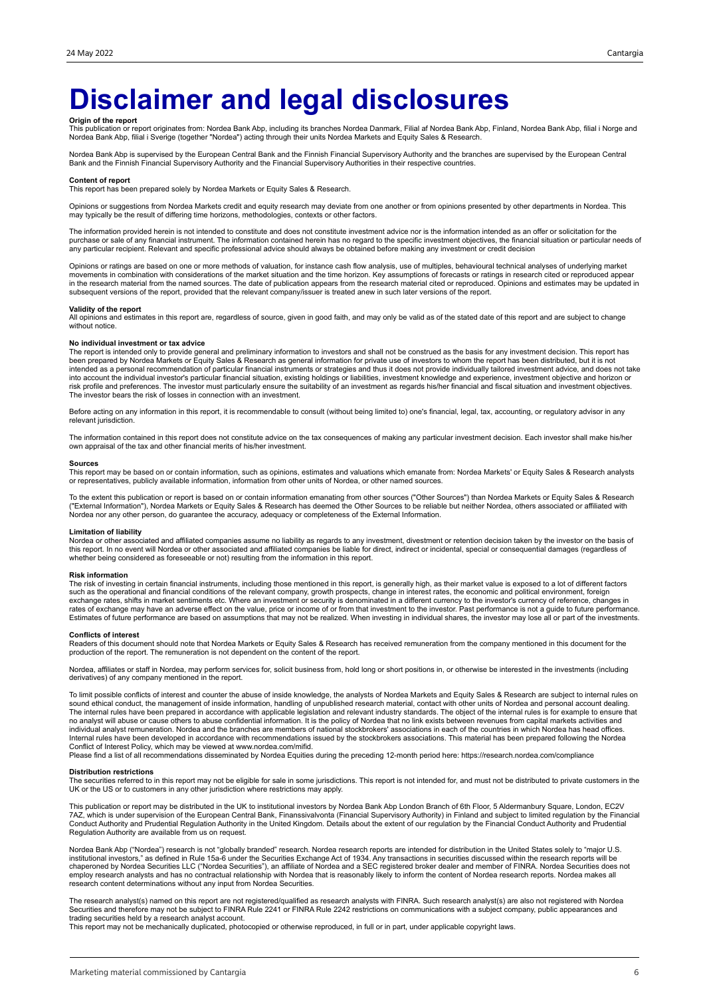# **Disclaimer and legal disclosures**

**Origin of the report**<br>This publication or report originates from: Nordea Bank Abp, including its branches Nordea Danmark, Filial af Nordea Bank Abp, Mordea Bank Abp, filial i Norge and<br>Nordea Bank Abp, filial i Sverige (t

Nordea Bank Abp is supervised by the European Central Bank and the Finnish Financial Supervisory Authority and the branches are supervised by the European Central<br>Bank and the Finnish Financial Supervisory Authority and th

#### **Content of report**

This report has been prepared solely by Nordea Markets or Equity Sales & Research.

Opinions or suggestions from Nordea Markets credit and equity research may deviate from one another or from opinions presented by other departments in Nordea. This may typically be the result of differing time horizons, methodologies, contexts or other factors.

The information provided herein is not intended to constitute and does not constitute investment advice nor is the information intended as an offer or solicitation for the purchase or sale of any financial instrument. The information contained herein has no regard to the specific investment objectives, the financial situation or particular needs of any particular recipient. Relevant and specific professional advice should always be obtained before making any investment or credit decision

Opinions or ratings are based on one or more methods of valuation, for instance cash flow analysis, use of multiples, behavioural technical analyses of underlying market movements in combination with considerations of the market situation and the time horizon. Key assumptions of forecasts or ratings in research cited or reproduced appear<br>in the research material from the named sources. The subsequent versions of the report, provided that the relevant company/issuer is treated anew in such later versions of the report.

### **Validity of the report**

All opinions and estimates in this report are, regardless of source, given in good faith, and may only be valid as of the stated date of this report and are subject to change without notice.

#### **No individual investment or tax advice**

The report is intended only to provide general and preliminary information to investors and shall not be construed as the basis for any investment decision. This report has<br>been prepared by Nordea Markets or Equity Sales & into account the individual investor's particular financial situation, existing holdings or liabilities, investment knowledge and experience, investment objective and horizon or<br>risk profile and preferences. The investor m The investor bears the risk of losses in connection with an investment.

Before acting on any information in this report, it is recommendable to consult (without being limited to) one's financial, legal, tax, accounting, or regulatory advisor in any relevant jurisdiction.

The information contained in this report does not constitute advice on the tax consequences of making any particular investment decision. Each investor shall make his/her own appraisal of the tax and other financial merits of his/her investment.

### **Sources**

This report may be based on or contain information, such as opinions, estimates and valuations which emanate from: Nordea Markets' or Equity Sales & Research analysts or representatives, publicly available information, information from other units of Nordea, or other named sources.

To the extent this publication or report is based on or contain information emanating from other sources ("Other Sources") than Nordea Markets or Equity Sales & Research<br>("External Information"), Nordea Markets or Equity S Nordea nor any other person, do guarantee the accuracy, adequacy or completeness of the External Information.

### **Limitation of liability**

Nordea or other associated and affiliated companies assume no liability as regards to any investment, divestment or retention decision taken by the investor on the basis of<br>this report. In no event will Nordea or other ass whether being considered as foreseeable or not) resulting from the information in this report.

### **Risk information**

The risk of investing in certain financial instruments, including those mentioned in this report, is generally high, as their market value is exposed to a lot of different factors<br>such as the operational and financial cond exchange rates, shifts in market sentiments etc. Where an investment or security is denominated in a different currency to the investor's currency of reference, changes in<br>rates of exchange may have an adverse effect on th Estimates of future performance are based on assumptions that may not be realized. When investing in individual shares, the investor may lose all or part of the investments.

#### **Conflicts of interest**

Readers of this document should note that Nordea Markets or Equity Sales & Research has received remuneration from the company mentioned in this document for the<br>production of the report. The remuneration is not dependent

Nordea, affiliates or staff in Nordea, may perform services for, solicit business from, hold long or short positions in, or otherwise be interested in the investments (including derivatives) of any company mentioned in the report.

To limit possible conflicts of interest and counter the abuse of inside knowledge, the analysts of Nordea Markets and Equity Sales & Research are subject to internal rules on sound ethical conduct, the management of inside information, handling of unpublished research material, contact with other units of Nordea and personal account dealing.<br>The internal rules have been prepared in accordance w individual analyst remuneration. Nordea and the branches are members of national stockbrokers' associations in each of the countries in which Nordea has head offices.<br>Internal rules have been developed in accordance with r Conflict of Interest Policy, which may be viewed at www.nordea.com/mifid.

Please find a list of all recommendations disseminated by Nordea Equities during the preceding 12-month period here: https://research.nordea.com/compliance

#### **Distribution restrictions**

The securities referred to in this report may not be eligible for sale in some jurisdictions. This report is not intended for, and must not be distributed to private customers in the<br>UK or the US or to customers in any oth

This publication or report may be distributed in the UK to institutional investors by Nordea Bank Abp London Branch of 6th Floor, 5 Aldermanbury Square, London, EC2V<br>7AZ, which is under supervision of the European Central Conduct Authority and Prudential Regulation Authority in the United Kingdom. Details about the extent of our regulation by the Financial Conduct Authority and Prudential Regulation Authority are available from us on request.

Nordea Bank Abp ("Nordea") research is not "globally branded" research. Nordea research reports are intended for distribution in the United States solely to "major U.S. institutional investors," as defined in Rule 15a-6 under the Securities Exchange Act of 1934. Any transactions in securities discussed within the research reports will be<br>chaperoned by Nordea Securities LLC ("Nordea Securi employ research analysts and has no contractual relationship with Nordea that is reasonably likely to inform the content of Nordea research reports. Nordea makes all research content determinations without any input from Nordea Securities.

The research analyst(s) named on this report are not registered/qualified as research analysts with FINRA. Such research analyst(s) are also not registered with Nordea Securities and therefore may not be subject to FINRA Rule 2241 or FINRA Rule 2242 restrictions on communications with a subject company, public appearances and trading securities held by a research analyst account.

This report may not be mechanically duplicated, photocopied or otherwise reproduced, in full or in part, under applicable copyright laws.